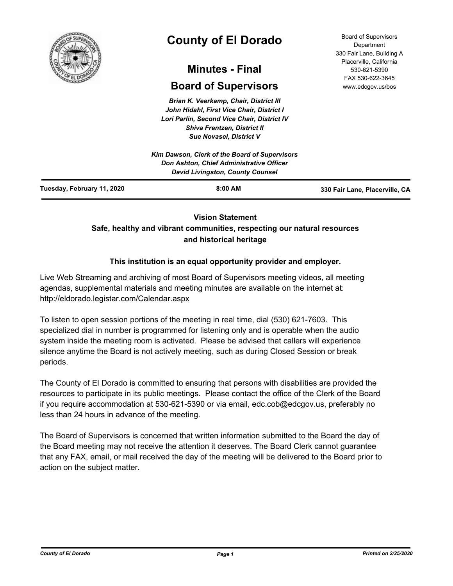

# **County of El Dorado**

## **Minutes - Final**

## **Board of Supervisors**

*Brian K. Veerkamp, Chair, District III John Hidahl, First Vice Chair, District I Lori Parlin, Second Vice Chair, District IV Shiva Frentzen, District II Sue Novasel, District V*

|                            | Kim Dawson, Clerk of the Board of Supervisors<br><b>Don Ashton, Chief Administrative Officer</b><br><b>David Livingston, County Counsel</b> |                                |
|----------------------------|---------------------------------------------------------------------------------------------------------------------------------------------|--------------------------------|
| Tuesday, February 11, 2020 | $8:00$ AM                                                                                                                                   | 330 Fair Lane, Placerville, CA |

## **Vision Statement**

## **Safe, healthy and vibrant communities, respecting our natural resources and historical heritage**

## **This institution is an equal opportunity provider and employer.**

Live Web Streaming and archiving of most Board of Supervisors meeting videos, all meeting agendas, supplemental materials and meeting minutes are available on the internet at: http://eldorado.legistar.com/Calendar.aspx

To listen to open session portions of the meeting in real time, dial (530) 621-7603. This specialized dial in number is programmed for listening only and is operable when the audio system inside the meeting room is activated. Please be advised that callers will experience silence anytime the Board is not actively meeting, such as during Closed Session or break periods.

The County of El Dorado is committed to ensuring that persons with disabilities are provided the resources to participate in its public meetings. Please contact the office of the Clerk of the Board if you require accommodation at 530-621-5390 or via email, edc.cob@edcgov.us, preferably no less than 24 hours in advance of the meeting.

The Board of Supervisors is concerned that written information submitted to the Board the day of the Board meeting may not receive the attention it deserves. The Board Clerk cannot guarantee that any FAX, email, or mail received the day of the meeting will be delivered to the Board prior to action on the subject matter.

Board of Supervisors Department 330 Fair Lane, Building A Placerville, California 530-621-5390 FAX 530-622-3645 www.edcgov.us/bos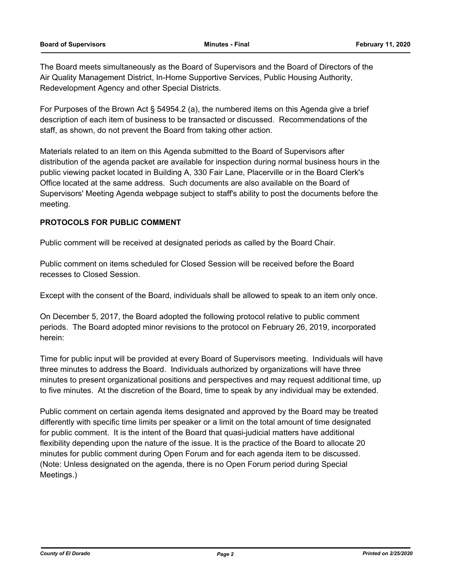The Board meets simultaneously as the Board of Supervisors and the Board of Directors of the Air Quality Management District, In-Home Supportive Services, Public Housing Authority, Redevelopment Agency and other Special Districts.

For Purposes of the Brown Act § 54954.2 (a), the numbered items on this Agenda give a brief description of each item of business to be transacted or discussed. Recommendations of the staff, as shown, do not prevent the Board from taking other action.

Materials related to an item on this Agenda submitted to the Board of Supervisors after distribution of the agenda packet are available for inspection during normal business hours in the public viewing packet located in Building A, 330 Fair Lane, Placerville or in the Board Clerk's Office located at the same address. Such documents are also available on the Board of Supervisors' Meeting Agenda webpage subject to staff's ability to post the documents before the meeting.

## **PROTOCOLS FOR PUBLIC COMMENT**

Public comment will be received at designated periods as called by the Board Chair.

Public comment on items scheduled for Closed Session will be received before the Board recesses to Closed Session.

Except with the consent of the Board, individuals shall be allowed to speak to an item only once.

On December 5, 2017, the Board adopted the following protocol relative to public comment periods. The Board adopted minor revisions to the protocol on February 26, 2019, incorporated herein:

Time for public input will be provided at every Board of Supervisors meeting. Individuals will have three minutes to address the Board. Individuals authorized by organizations will have three minutes to present organizational positions and perspectives and may request additional time, up to five minutes. At the discretion of the Board, time to speak by any individual may be extended.

Public comment on certain agenda items designated and approved by the Board may be treated differently with specific time limits per speaker or a limit on the total amount of time designated for public comment. It is the intent of the Board that quasi-judicial matters have additional flexibility depending upon the nature of the issue. It is the practice of the Board to allocate 20 minutes for public comment during Open Forum and for each agenda item to be discussed. (Note: Unless designated on the agenda, there is no Open Forum period during Special Meetings.)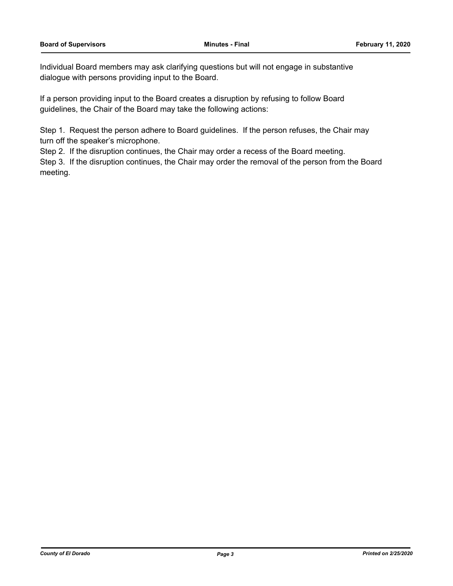Individual Board members may ask clarifying questions but will not engage in substantive dialogue with persons providing input to the Board.

If a person providing input to the Board creates a disruption by refusing to follow Board guidelines, the Chair of the Board may take the following actions:

Step 1. Request the person adhere to Board guidelines. If the person refuses, the Chair may turn off the speaker's microphone.

Step 2. If the disruption continues, the Chair may order a recess of the Board meeting.

Step 3. If the disruption continues, the Chair may order the removal of the person from the Board meeting.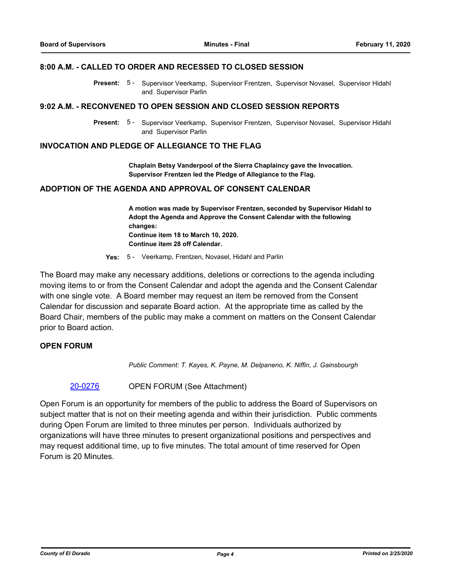#### **8:00 A.M. - CALLED TO ORDER AND RECESSED TO CLOSED SESSION**

Present: 5 - Supervisor Veerkamp, Supervisor Frentzen, Supervisor Novasel, Supervisor Hidahl and Supervisor Parlin

#### **9:02 A.M. - RECONVENED TO OPEN SESSION AND CLOSED SESSION REPORTS**

Present: 5 - Supervisor Veerkamp, Supervisor Frentzen, Supervisor Novasel, Supervisor Hidahl and Supervisor Parlin

## **INVOCATION AND PLEDGE OF ALLEGIANCE TO THE FLAG**

**Chaplain Betsy Vanderpool of the Sierra Chaplaincy gave the Invocation. Supervisor Frentzen led the Pledge of Allegiance to the Flag.**

## **ADOPTION OF THE AGENDA AND APPROVAL OF CONSENT CALENDAR**

**A motion was made by Supervisor Frentzen, seconded by Supervisor Hidahl to Adopt the Agenda and Approve the Consent Calendar with the following changes: Continue item 18 to March 10, 2020. Continue item 28 off Calendar.**

**Yes:** 5 - Veerkamp, Frentzen, Novasel, Hidahl and Parlin

The Board may make any necessary additions, deletions or corrections to the agenda including moving items to or from the Consent Calendar and adopt the agenda and the Consent Calendar with one single vote. A Board member may request an item be removed from the Consent Calendar for discussion and separate Board action. At the appropriate time as called by the Board Chair, members of the public may make a comment on matters on the Consent Calendar prior to Board action.

## **OPEN FORUM**

*Public Comment: T. Kayes, K. Payne, M. Delpaneno, K. Niffin, J. Gainsbourgh*

## [20-0276](http://eldorado.legistar.com/gateway.aspx?m=l&id=/matter.aspx?key=27481) OPEN FORUM (See Attachment)

Open Forum is an opportunity for members of the public to address the Board of Supervisors on subject matter that is not on their meeting agenda and within their jurisdiction. Public comments during Open Forum are limited to three minutes per person. Individuals authorized by organizations will have three minutes to present organizational positions and perspectives and may request additional time, up to five minutes. The total amount of time reserved for Open Forum is 20 Minutes.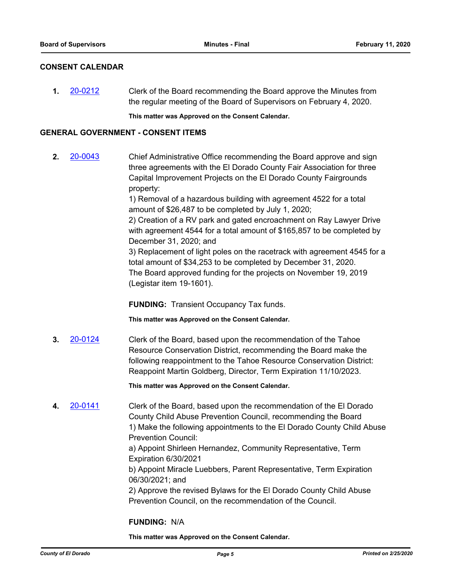## **CONSENT CALENDAR**

**1.** [20-0212](http://eldorado.legistar.com/gateway.aspx?m=l&id=/matter.aspx?key=27417) Clerk of the Board recommending the Board approve the Minutes from the regular meeting of the Board of Supervisors on February 4, 2020.

**This matter was Approved on the Consent Calendar.**

## **GENERAL GOVERNMENT - CONSENT ITEMS**

**2.** [20-0043](http://eldorado.legistar.com/gateway.aspx?m=l&id=/matter.aspx?key=27248) Chief Administrative Office recommending the Board approve and sign three agreements with the El Dorado County Fair Association for three Capital Improvement Projects on the El Dorado County Fairgrounds property:

> 1) Removal of a hazardous building with agreement 4522 for a total amount of \$26,487 to be completed by July 1, 2020;

2) Creation of a RV park and gated encroachment on Ray Lawyer Drive with agreement 4544 for a total amount of \$165,857 to be completed by December 31, 2020; and

3) Replacement of light poles on the racetrack with agreement 4545 for a total amount of \$34,253 to be completed by December 31, 2020. The Board approved funding for the projects on November 19, 2019 (Legistar item 19-1601).

**FUNDING:** Transient Occupancy Tax funds.

**This matter was Approved on the Consent Calendar.**

**3.** [20-0124](http://eldorado.legistar.com/gateway.aspx?m=l&id=/matter.aspx?key=27329) Clerk of the Board, based upon the recommendation of the Tahoe Resource Conservation District, recommending the Board make the following reappointment to the Tahoe Resource Conservation District: Reappoint Martin Goldberg, Director, Term Expiration 11/10/2023.

**This matter was Approved on the Consent Calendar.**

**4.** [20-0141](http://eldorado.legistar.com/gateway.aspx?m=l&id=/matter.aspx?key=27346) Clerk of the Board, based upon the recommendation of the El Dorado County Child Abuse Prevention Council, recommending the Board 1) Make the following appointments to the El Dorado County Child Abuse Prevention Council:

> a) Appoint Shirleen Hernandez, Community Representative, Term Expiration 6/30/2021

b) Appoint Miracle Luebbers, Parent Representative, Term Expiration 06/30/2021; and

2) Approve the revised Bylaws for the El Dorado County Child Abuse Prevention Council, on the recommendation of the Council.

## **FUNDING:** N/A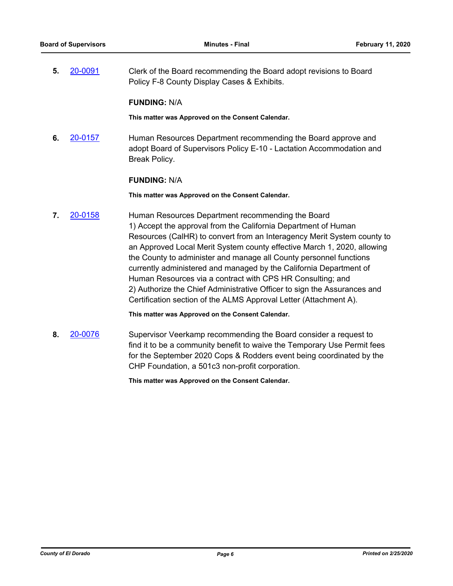**5.** [20-0091](http://eldorado.legistar.com/gateway.aspx?m=l&id=/matter.aspx?key=27296) Clerk of the Board recommending the Board adopt revisions to Board Policy F-8 County Display Cases & Exhibits.

## **FUNDING:** N/A

**This matter was Approved on the Consent Calendar.**

**6.** [20-0157](http://eldorado.legistar.com/gateway.aspx?m=l&id=/matter.aspx?key=27362) Human Resources Department recommending the Board approve and adopt Board of Supervisors Policy E-10 - Lactation Accommodation and Break Policy.

## **FUNDING:** N/A

**This matter was Approved on the Consent Calendar.**

**7.** [20-0158](http://eldorado.legistar.com/gateway.aspx?m=l&id=/matter.aspx?key=27363) Human Resources Department recommending the Board 1) Accept the approval from the California Department of Human Resources (CalHR) to convert from an Interagency Merit System county to an Approved Local Merit System county effective March 1, 2020, allowing the County to administer and manage all County personnel functions currently administered and managed by the California Department of Human Resources via a contract with CPS HR Consulting; and 2) Authorize the Chief Administrative Officer to sign the Assurances and Certification section of the ALMS Approval Letter (Attachment A).

**This matter was Approved on the Consent Calendar.**

**8.** [20-0076](http://eldorado.legistar.com/gateway.aspx?m=l&id=/matter.aspx?key=27281) Supervisor Veerkamp recommending the Board consider a request to find it to be a community benefit to waive the Temporary Use Permit fees for the September 2020 Cops & Rodders event being coordinated by the CHP Foundation, a 501c3 non-profit corporation.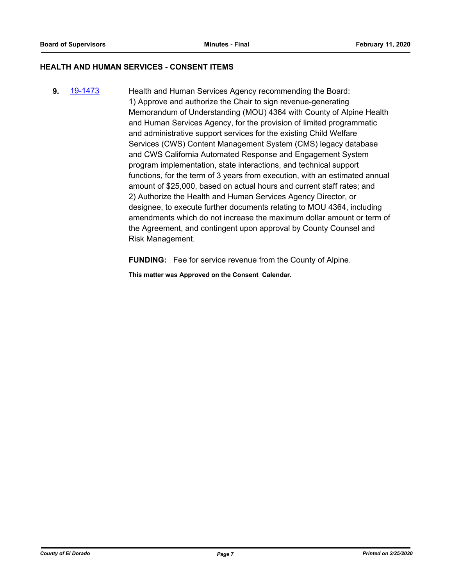## **HEALTH AND HUMAN SERVICES - CONSENT ITEMS**

**9.** [19-1473](http://eldorado.legistar.com/gateway.aspx?m=l&id=/matter.aspx?key=26794) Health and Human Services Agency recommending the Board: 1) Approve and authorize the Chair to sign revenue-generating Memorandum of Understanding (MOU) 4364 with County of Alpine Health and Human Services Agency, for the provision of limited programmatic and administrative support services for the existing Child Welfare Services (CWS) Content Management System (CMS) legacy database and CWS California Automated Response and Engagement System program implementation, state interactions, and technical support functions, for the term of 3 years from execution, with an estimated annual amount of \$25,000, based on actual hours and current staff rates; and 2) Authorize the Health and Human Services Agency Director, or designee, to execute further documents relating to MOU 4364, including amendments which do not increase the maximum dollar amount or term of the Agreement, and contingent upon approval by County Counsel and Risk Management.

**FUNDING:** Fee for service revenue from the County of Alpine.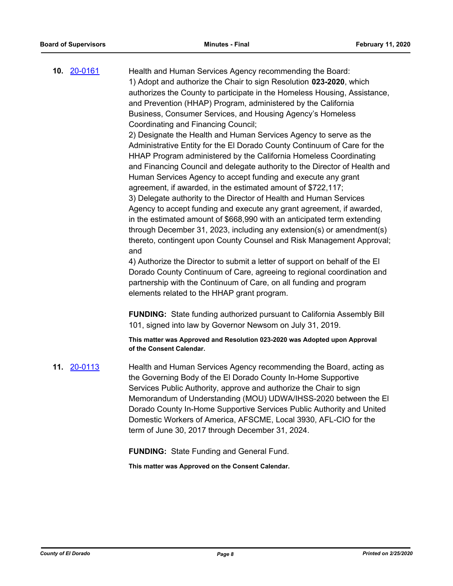**10.** [20-0161](http://eldorado.legistar.com/gateway.aspx?m=l&id=/matter.aspx?key=27366) Health and Human Services Agency recommending the Board: 1) Adopt and authorize the Chair to sign Resolution **023-2020**, which authorizes the County to participate in the Homeless Housing, Assistance, and Prevention (HHAP) Program, administered by the California Business, Consumer Services, and Housing Agency's Homeless Coordinating and Financing Council; 2) Designate the Health and Human Services Agency to serve as the

Administrative Entity for the El Dorado County Continuum of Care for the HHAP Program administered by the California Homeless Coordinating and Financing Council and delegate authority to the Director of Health and Human Services Agency to accept funding and execute any grant agreement, if awarded, in the estimated amount of \$722,117; 3) Delegate authority to the Director of Health and Human Services Agency to accept funding and execute any grant agreement, if awarded, in the estimated amount of \$668,990 with an anticipated term extending through December 31, 2023, including any extension(s) or amendment(s) thereto, contingent upon County Counsel and Risk Management Approval; and

4) Authorize the Director to submit a letter of support on behalf of the El Dorado County Continuum of Care, agreeing to regional coordination and partnership with the Continuum of Care, on all funding and program elements related to the HHAP grant program.

**FUNDING:** State funding authorized pursuant to California Assembly Bill 101, signed into law by Governor Newsom on July 31, 2019.

**This matter was Approved and Resolution 023-2020 was Adopted upon Approval of the Consent Calendar.**

**11.** [20-0113](http://eldorado.legistar.com/gateway.aspx?m=l&id=/matter.aspx?key=27318) Health and Human Services Agency recommending the Board, acting as the Governing Body of the El Dorado County In-Home Supportive Services Public Authority, approve and authorize the Chair to sign Memorandum of Understanding (MOU) UDWA/IHSS-2020 between the El Dorado County In-Home Supportive Services Public Authority and United Domestic Workers of America, AFSCME, Local 3930, AFL-CIO for the term of June 30, 2017 through December 31, 2024.

**FUNDING:** State Funding and General Fund.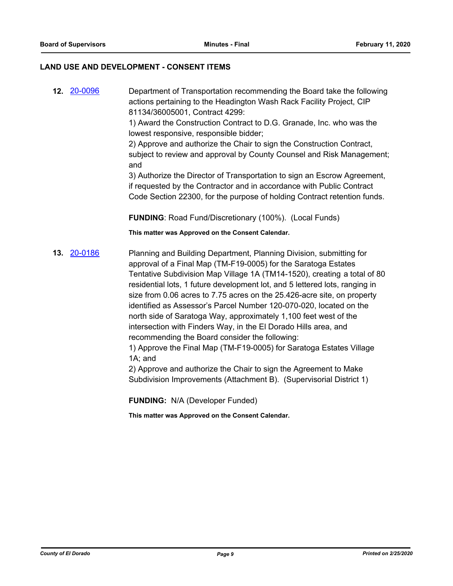## **LAND USE AND DEVELOPMENT - CONSENT ITEMS**

**12.** [20-0096](http://eldorado.legistar.com/gateway.aspx?m=l&id=/matter.aspx?key=27301) Department of Transportation recommending the Board take the following actions pertaining to the Headington Wash Rack Facility Project, CIP 81134/36005001, Contract 4299:

> 1) Award the Construction Contract to D.G. Granade, Inc. who was the lowest responsive, responsible bidder;

2) Approve and authorize the Chair to sign the Construction Contract, subject to review and approval by County Counsel and Risk Management; and

3) Authorize the Director of Transportation to sign an Escrow Agreement, if requested by the Contractor and in accordance with Public Contract Code Section 22300, for the purpose of holding Contract retention funds.

**FUNDING**: Road Fund/Discretionary (100%). (Local Funds)

**This matter was Approved on the Consent Calendar.**

**13.** [20-0186](http://eldorado.legistar.com/gateway.aspx?m=l&id=/matter.aspx?key=27391) Planning and Building Department, Planning Division, submitting for approval of a Final Map (TM-F19-0005) for the Saratoga Estates Tentative Subdivision Map Village 1A (TM14-1520), creating a total of 80 residential lots, 1 future development lot, and 5 lettered lots, ranging in size from 0.06 acres to 7.75 acres on the 25.426-acre site, on property identified as Assessor's Parcel Number 120-070-020, located on the north side of Saratoga Way, approximately 1,100 feet west of the intersection with Finders Way, in the El Dorado Hills area, and recommending the Board consider the following:

1) Approve the Final Map (TM-F19-0005) for Saratoga Estates Village 1A; and

2) Approve and authorize the Chair to sign the Agreement to Make Subdivision Improvements (Attachment B). (Supervisorial District 1)

**FUNDING:** N/A (Developer Funded)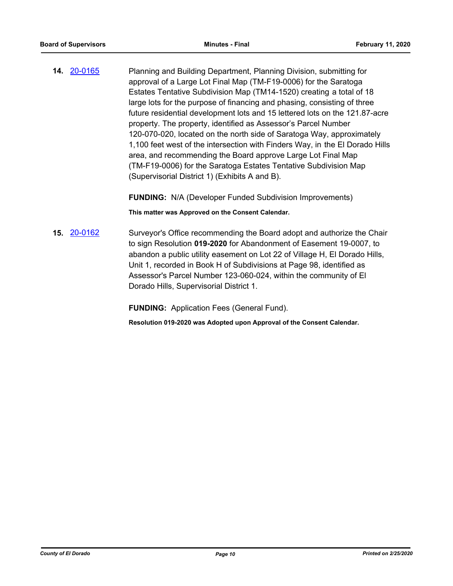**14.** [20-0165](http://eldorado.legistar.com/gateway.aspx?m=l&id=/matter.aspx?key=27370) Planning and Building Department, Planning Division, submitting for approval of a Large Lot Final Map (TM-F19-0006) for the Saratoga Estates Tentative Subdivision Map (TM14-1520) creating a total of 18 large lots for the purpose of financing and phasing, consisting of three future residential development lots and 15 lettered lots on the 121.87-acre property. The property, identified as Assessor's Parcel Number 120-070-020, located on the north side of Saratoga Way, approximately 1,100 feet west of the intersection with Finders Way, in the El Dorado Hills area, and recommending the Board approve Large Lot Final Map (TM-F19-0006) for the Saratoga Estates Tentative Subdivision Map (Supervisorial District 1) (Exhibits A and B).

**FUNDING:** N/A (Developer Funded Subdivision Improvements)

**This matter was Approved on the Consent Calendar.**

**15.** [20-0162](http://eldorado.legistar.com/gateway.aspx?m=l&id=/matter.aspx?key=27367) Surveyor's Office recommending the Board adopt and authorize the Chair to sign Resolution **019-2020** for Abandonment of Easement 19-0007, to abandon a public utility easement on Lot 22 of Village H, El Dorado Hills, Unit 1, recorded in Book H of Subdivisions at Page 98, identified as Assessor's Parcel Number 123-060-024, within the community of El Dorado Hills, Supervisorial District 1.

**FUNDING:** Application Fees (General Fund).

**Resolution 019-2020 was Adopted upon Approval of the Consent Calendar.**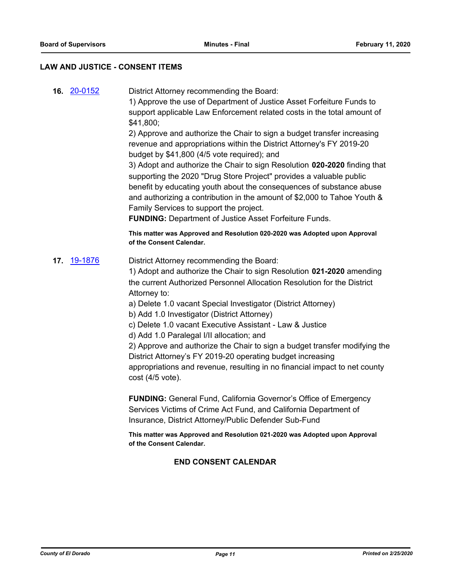## **LAW AND JUSTICE - CONSENT ITEMS**

**16.** [20-0152](http://eldorado.legistar.com/gateway.aspx?m=l&id=/matter.aspx?key=27357) District Attorney recommending the Board:

1) Approve the use of Department of Justice Asset Forfeiture Funds to support applicable Law Enforcement related costs in the total amount of \$41,800;

2) Approve and authorize the Chair to sign a budget transfer increasing revenue and appropriations within the District Attorney's FY 2019-20 budget by \$41,800 (4/5 vote required); and

3) Adopt and authorize the Chair to sign Resolution **020-2020** finding that supporting the 2020 "Drug Store Project" provides a valuable public benefit by educating youth about the consequences of substance abuse and authorizing a contribution in the amount of \$2,000 to Tahoe Youth & Family Services to support the project.

**FUNDING:** Department of Justice Asset Forfeiture Funds.

**This matter was Approved and Resolution 020-2020 was Adopted upon Approval of the Consent Calendar.**

**17.** [19-1876](http://eldorado.legistar.com/gateway.aspx?m=l&id=/matter.aspx?key=27200) District Attorney recommending the Board:

1) Adopt and authorize the Chair to sign Resolution **021-2020** amending the current Authorized Personnel Allocation Resolution for the District Attorney to:

a) Delete 1.0 vacant Special Investigator (District Attorney)

- b) Add 1.0 Investigator (District Attorney)
- c) Delete 1.0 vacant Executive Assistant Law & Justice
- d) Add 1.0 Paralegal I/II allocation; and

2) Approve and authorize the Chair to sign a budget transfer modifying the District Attorney's FY 2019-20 operating budget increasing appropriations and revenue, resulting in no financial impact to net county cost (4/5 vote).

**FUNDING:** General Fund, California Governor's Office of Emergency Services Victims of Crime Act Fund, and California Department of Insurance, District Attorney/Public Defender Sub-Fund

**This matter was Approved and Resolution 021-2020 was Adopted upon Approval of the Consent Calendar.**

## **END CONSENT CALENDAR**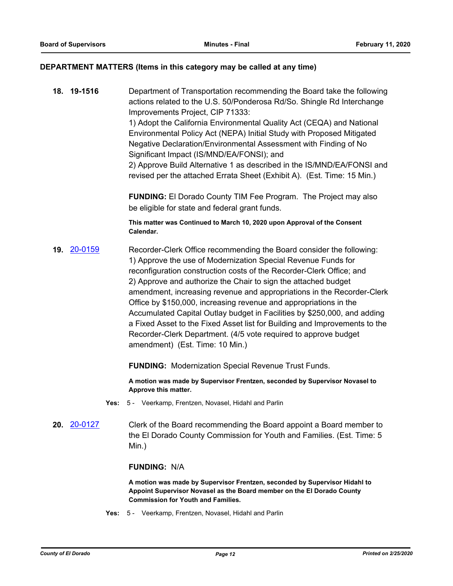## **DEPARTMENT MATTERS (Items in this category may be called at any time)**

**18. 19-1516** Department of Transportation recommending the Board take the following actions related to the U.S. 50/Ponderosa Rd/So. Shingle Rd Interchange Improvements Project, CIP 71333:

> 1) Adopt the California Environmental Quality Act (CEQA) and National Environmental Policy Act (NEPA) Initial Study with Proposed Mitigated Negative Declaration/Environmental Assessment with Finding of No Significant Impact (IS/MND/EA/FONSI); and

2) Approve Build Alternative 1 as described in the IS/MND/EA/FONSI and revised per the attached Errata Sheet (Exhibit A). (Est. Time: 15 Min.)

**FUNDING:** El Dorado County TIM Fee Program. The Project may also be eligible for state and federal grant funds.

**This matter was Continued to March 10, 2020 upon Approval of the Consent Calendar.**

**19.** [20-0159](http://eldorado.legistar.com/gateway.aspx?m=l&id=/matter.aspx?key=27364) Recorder-Clerk Office recommending the Board consider the following: 1) Approve the use of Modernization Special Revenue Funds for reconfiguration construction costs of the Recorder-Clerk Office; and 2) Approve and authorize the Chair to sign the attached budget amendment, increasing revenue and appropriations in the Recorder-Clerk Office by \$150,000, increasing revenue and appropriations in the Accumulated Capital Outlay budget in Facilities by \$250,000, and adding a Fixed Asset to the Fixed Asset list for Building and Improvements to the Recorder-Clerk Department. (4/5 vote required to approve budget amendment) (Est. Time: 10 Min.)

**FUNDING:** Modernization Special Revenue Trust Funds.

**A motion was made by Supervisor Frentzen, seconded by Supervisor Novasel to Approve this matter.**

- **Yes:** 5 Veerkamp, Frentzen, Novasel, Hidahl and Parlin
- **20.** [20-0127](http://eldorado.legistar.com/gateway.aspx?m=l&id=/matter.aspx?key=27332) Clerk of the Board recommending the Board appoint a Board member to the El Dorado County Commission for Youth and Families. (Est. Time: 5 Min.)

## **FUNDING:** N/A

**A motion was made by Supervisor Frentzen, seconded by Supervisor Hidahl to Appoint Supervisor Novasel as the Board member on the El Dorado County Commission for Youth and Families.**

**Yes:** 5 - Veerkamp, Frentzen, Novasel, Hidahl and Parlin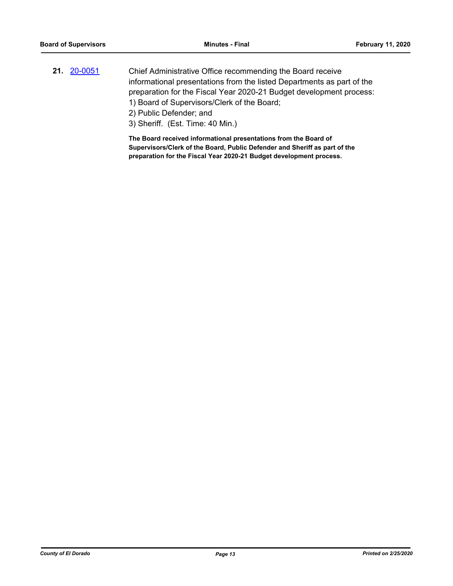- **21.** [20-0051](http://eldorado.legistar.com/gateway.aspx?m=l&id=/matter.aspx?key=27256) Chief Administrative Office recommending the Board receive informational presentations from the listed Departments as part of the preparation for the Fiscal Year 2020-21 Budget development process: 1) Board of Supervisors/Clerk of the Board;
	- 2) Public Defender; and
	- 3) Sheriff. (Est. Time: 40 Min.)

**The Board received informational presentations from the Board of Supervisors/Clerk of the Board, Public Defender and Sheriff as part of the preparation for the Fiscal Year 2020-21 Budget development process.**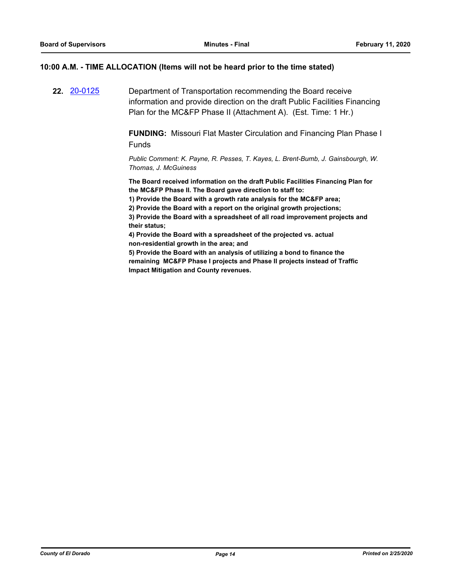## **10:00 A.M. - TIME ALLOCATION (Items will not be heard prior to the time stated)**

**22.** [20-0125](http://eldorado.legistar.com/gateway.aspx?m=l&id=/matter.aspx?key=27330) Department of Transportation recommending the Board receive information and provide direction on the draft Public Facilities Financing Plan for the MC&FP Phase II (Attachment A). (Est. Time: 1 Hr.)

> **FUNDING:** Missouri Flat Master Circulation and Financing Plan Phase I Funds

*Public Comment: K. Payne, R. Pesses, T. Kayes, L. Brent-Bumb, J. Gainsbourgh, W. Thomas, J. McGuiness*

**The Board received information on the draft Public Facilities Financing Plan for the MC&FP Phase II. The Board gave direction to staff to:**

**1) Provide the Board with a growth rate analysis for the MC&FP area;**

**2) Provide the Board with a report on the original growth projections;**

**3) Provide the Board with a spreadsheet of all road improvement projects and their status;**

**4) Provide the Board with a spreadsheet of the projected vs. actual non-residential growth in the area; and** 

**5) Provide the Board with an analysis of utilizing a bond to finance the remaining MC&FP Phase I projects and Phase II projects instead of Traffic Impact Mitigation and County revenues.**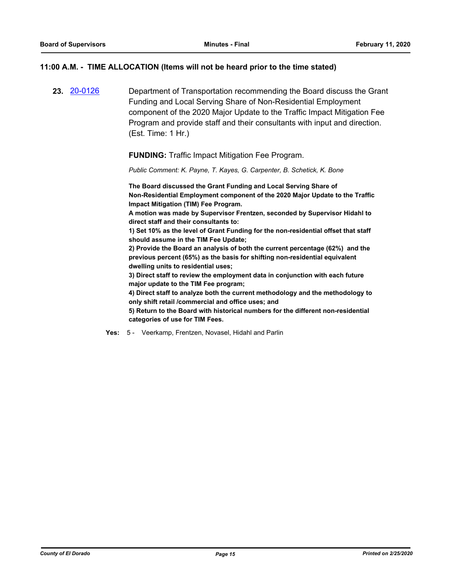## **11:00 A.M. - TIME ALLOCATION (Items will not be heard prior to the time stated)**

**23.** [20-0126](http://eldorado.legistar.com/gateway.aspx?m=l&id=/matter.aspx?key=27331) Department of Transportation recommending the Board discuss the Grant Funding and Local Serving Share of Non-Residential Employment component of the 2020 Major Update to the Traffic Impact Mitigation Fee Program and provide staff and their consultants with input and direction. (Est. Time: 1 Hr.)

**FUNDING:** Traffic Impact Mitigation Fee Program.

*Public Comment: K. Payne, T. Kayes, G. Carpenter, B. Schetick, K. Bone*

**The Board discussed the Grant Funding and Local Serving Share of Non-Residential Employment component of the 2020 Major Update to the Traffic Impact Mitigation (TIM) Fee Program.** 

**A motion was made by Supervisor Frentzen, seconded by Supervisor Hidahl to direct staff and their consultants to:**

**1) Set 10% as the level of Grant Funding for the non-residential offset that staff should assume in the TIM Fee Update;**

**2) Provide the Board an analysis of both the current percentage (62%) and the previous percent (65%) as the basis for shifting non-residential equivalent dwelling units to residential uses;** 

**3) Direct staff to review the employment data in conjunction with each future major update to the TIM Fee program;**

**4) Direct staff to analyze both the current methodology and the methodology to only shift retail /commercial and office uses; and**

**5) Return to the Board with historical numbers for the different non-residential categories of use for TIM Fees.**

**Yes:** 5 - Veerkamp, Frentzen, Novasel, Hidahl and Parlin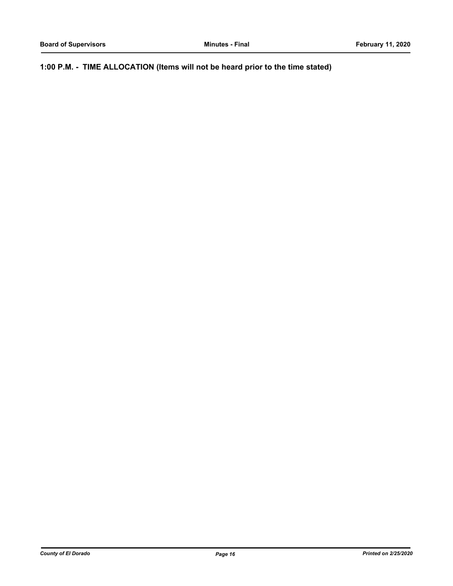**1:00 P.M. - TIME ALLOCATION (Items will not be heard prior to the time stated)**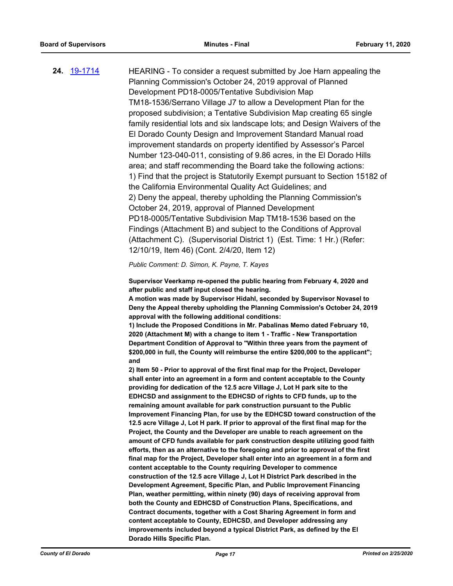**24.** [19-1714](http://eldorado.legistar.com/gateway.aspx?m=l&id=/matter.aspx?key=27038) HEARING - To consider a request submitted by Joe Harn appealing the Planning Commission's October 24, 2019 approval of Planned Development PD18-0005/Tentative Subdivision Map TM18-1536/Serrano Village J7 to allow a Development Plan for the proposed subdivision; a Tentative Subdivision Map creating 65 single family residential lots and six landscape lots; and Design Waivers of the El Dorado County Design and Improvement Standard Manual road improvement standards on property identified by Assessor's Parcel Number 123-040-011, consisting of 9.86 acres, in the El Dorado Hills area; and staff recommending the Board take the following actions: 1) Find that the project is Statutorily Exempt pursuant to Section 15182 of the California Environmental Quality Act Guidelines; and 2) Deny the appeal, thereby upholding the Planning Commission's October 24, 2019, approval of Planned Development PD18-0005/Tentative Subdivision Map TM18-1536 based on the Findings (Attachment B) and subject to the Conditions of Approval (Attachment C). (Supervisorial District 1) (Est. Time: 1 Hr.) (Refer: 12/10/19, Item 46) (Cont. 2/4/20, Item 12)

*Public Comment: D. Simon, K. Payne, T. Kayes*

**Supervisor Veerkamp re-opened the public hearing from February 4, 2020 and after public and staff input closed the hearing.**

**A motion was made by Supervisor Hidahl, seconded by Supervisor Novasel to Deny the Appeal thereby upholding the Planning Commission's October 24, 2019 approval with the following additional conditions:**

**1) Include the Proposed Conditions in Mr. Pabalinas Memo dated February 10, 2020 (Attachment M) with a change to item 1 - Traffic - New Transportation Department Condition of Approval to "Within three years from the payment of \$200,000 in full, the County will reimburse the entire \$200,000 to the applicant"; and** 

**2) Item 50 - Prior to approval of the first final map for the Project, Developer shall enter into an agreement in a form and content acceptable to the County providing for dedication of the 12.5 acre Village J, Lot H park site to the EDHCSD and assignment to the EDHCSD of rights to CFD funds, up to the remaining amount available for park construction pursuant to the Public Improvement Financing Plan, for use by the EDHCSD toward construction of the 12.5 acre Village J, Lot H park. If prior to approval of the first final map for the Project, the County and the Developer are unable to reach agreement on the amount of CFD funds available for park construction despite utilizing good faith efforts, then as an alternative to the foregoing and prior to approval of the first final map for the Project, Developer shall enter into an agreement in a form and content acceptable to the County requiring Developer to commence construction of the 12.5 acre Village J, Lot H District Park described in the Development Agreement, Specific Plan, and Public Improvement Financing Plan, weather permitting, within ninety (90) days of receiving approval from both the County and EDHCSD of Construction Plans, Specifications, and Contract documents, together with a Cost Sharing Agreement in form and content acceptable to County, EDHCSD, and Developer addressing any improvements included beyond a typical District Park, as defined by the El Dorado Hills Specific Plan.**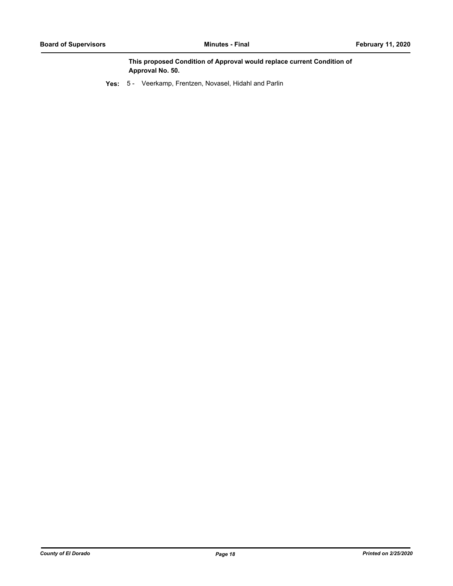**This proposed Condition of Approval would replace current Condition of Approval No. 50.**

**Yes:** 5 - Veerkamp, Frentzen, Novasel, Hidahl and Parlin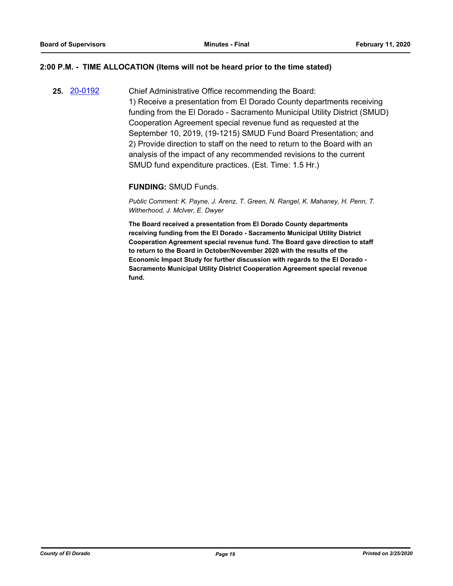## **2:00 P.M. - TIME ALLOCATION (Items will not be heard prior to the time stated)**

**25.** [20-0192](http://eldorado.legistar.com/gateway.aspx?m=l&id=/matter.aspx?key=27397) Chief Administrative Office recommending the Board: 1) Receive a presentation from El Dorado County departments receiving funding from the El Dorado - Sacramento Municipal Utility District (SMUD) Cooperation Agreement special revenue fund as requested at the September 10, 2019, (19-1215) SMUD Fund Board Presentation; and 2) Provide direction to staff on the need to return to the Board with an analysis of the impact of any recommended revisions to the current SMUD fund expenditure practices. (Est. Time: 1.5 Hr.)

## **FUNDING:** SMUD Funds.

*Public Comment: K. Payne, J. Arenz, T. Green, N. Rangel, K. Mahaney, H. Penn, T. Witherhood, J. McIver, E. Dwyer*

**The Board received a presentation from El Dorado County departments receiving funding from the El Dorado - Sacramento Municipal Utility District Cooperation Agreement special revenue fund. The Board gave direction to staff to return to the Board in October/November 2020 with the results of the Economic Impact Study for further discussion with regards to the El Dorado - Sacramento Municipal Utility District Cooperation Agreement special revenue fund.**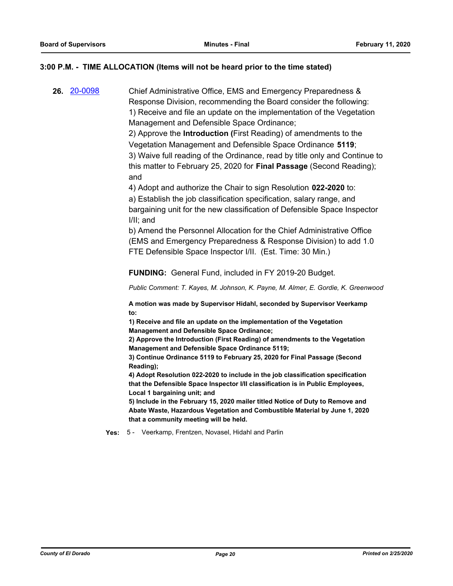## **3:00 P.M. - TIME ALLOCATION (Items will not be heard prior to the time stated)**

**26.** [20-0098](http://eldorado.legistar.com/gateway.aspx?m=l&id=/matter.aspx?key=27303) Chief Administrative Office, EMS and Emergency Preparedness & Response Division, recommending the Board consider the following: 1) Receive and file an update on the implementation of the Vegetation Management and Defensible Space Ordinance;

> 2) Approve the **Introduction (**First Reading) of amendments to the Vegetation Management and Defensible Space Ordinance **5119**; 3) Waive full reading of the Ordinance, read by title only and Continue to this matter to February 25, 2020 for **Final Passage** (Second Reading); and

4) Adopt and authorize the Chair to sign Resolution **022-2020** to:

a) Establish the job classification specification, salary range, and bargaining unit for the new classification of Defensible Space Inspector I/II; and

b) Amend the Personnel Allocation for the Chief Administrative Office (EMS and Emergency Preparedness & Response Division) to add 1.0 FTE Defensible Space Inspector I/II. (Est. Time: 30 Min.)

**FUNDING:** General Fund, included in FY 2019-20 Budget.

*Public Comment: T. Kayes, M. Johnson, K. Payne, M. Almer, E. Gordie, K. Greenwood*

**A motion was made by Supervisor Hidahl, seconded by Supervisor Veerkamp to:**

**1) Receive and file an update on the implementation of the Vegetation Management and Defensible Space Ordinance;**

**2) Approve the Introduction (First Reading) of amendments to the Vegetation Management and Defensible Space Ordinance 5119;**

**3) Continue Ordinance 5119 to February 25, 2020 for Final Passage (Second Reading);** 

**4) Adopt Resolution 022-2020 to include in the job classification specification that the Defensible Space Inspector I/II classification is in Public Employees, Local 1 bargaining unit; and**

**5) Include in the February 15, 2020 mailer titled Notice of Duty to Remove and Abate Waste, Hazardous Vegetation and Combustible Material by June 1, 2020 that a community meeting will be held.**

**Yes:** 5 - Veerkamp, Frentzen, Novasel, Hidahl and Parlin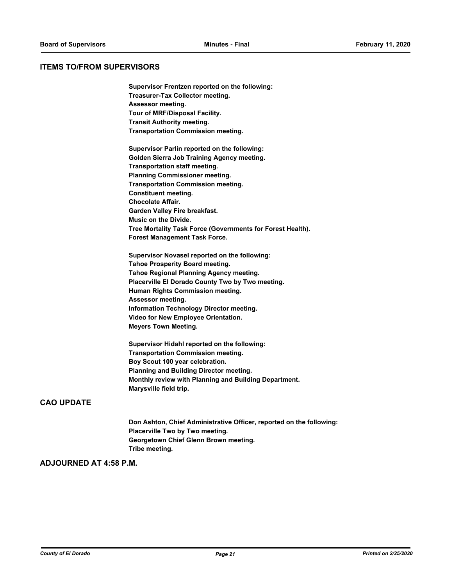## **ITEMS TO/FROM SUPERVISORS**

**Supervisor Frentzen reported on the following: Treasurer-Tax Collector meeting. Assessor meeting. Tour of MRF/Disposal Facility. Transit Authority meeting. Transportation Commission meeting. Supervisor Parlin reported on the following: Golden Sierra Job Training Agency meeting. Transportation staff meeting. Planning Commissioner meeting. Transportation Commission meeting. Constituent meeting. Chocolate Affair. Garden Valley Fire breakfast. Music on the Divide. Tree Mortality Task Force (Governments for Forest Health). Forest Management Task Force. Supervisor Novasel reported on the following: Tahoe Prosperity Board meeting. Tahoe Regional Planning Agency meeting. Placerville El Dorado County Two by Two meeting. Human Rights Commission meeting. Assessor meeting. Information Technology Director meeting. Video for New Employee Orientation.**

**Meyers Town Meeting.**

**Supervisor Hidahl reported on the following: Transportation Commission meeting. Boy Scout 100 year celebration. Planning and Building Director meeting. Monthly review with Planning and Building Department. Marysville field trip.**

## **CAO UPDATE**

**Don Ashton, Chief Administrative Officer, reported on the following: Placerville Two by Two meeting. Georgetown Chief Glenn Brown meeting. Tribe meeting.**

## **ADJOURNED AT 4:58 P.M.**